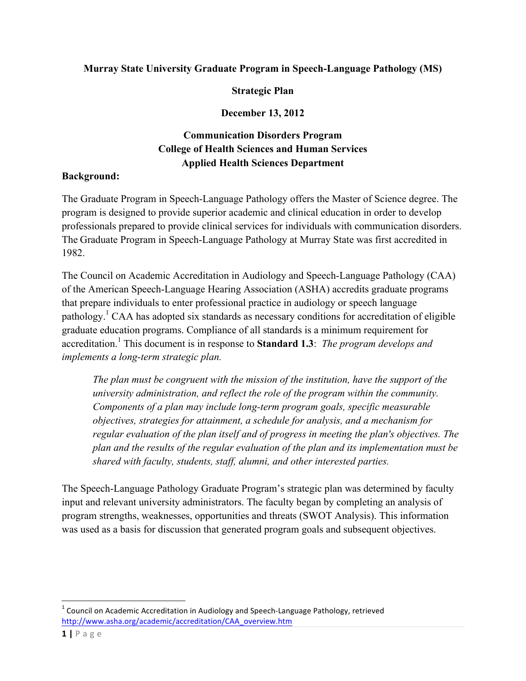## **Murray State University Graduate Program in Speech-Language Pathology (MS)**

#### **Strategic Plan**

### **December 13, 2012**

# **Communication Disorders Program College of Health Sciences and Human Services Applied Health Sciences Department**

#### **Background:**

The Graduate Program in Speech-Language Pathology offers the Master of Science degree. The program is designed to provide superior academic and clinical education in order to develop professionals prepared to provide clinical services for individuals with communication disorders. The Graduate Program in Speech-Language Pathology at Murray State was first accredited in 1982.

The Council on Academic Accreditation in Audiology and Speech-Language Pathology (CAA) of the American Speech-Language Hearing Association (ASHA) accredits graduate programs that prepare individuals to enter professional practice in audiology or speech language pathology.<sup>1</sup> CAA has adopted six standards as necessary conditions for accreditation of eligible graduate education programs. Compliance of all standards is a minimum requirement for accreditation. <sup>1</sup> This document is in response to **Standard 1.3**: *The program develops and implements a long-term strategic plan.*

*The plan must be congruent with the mission of the institution, have the support of the university administration, and reflect the role of the program within the community. Components of a plan may include long-term program goals, specific measurable objectives, strategies for attainment, a schedule for analysis, and a mechanism for regular evaluation of the plan itself and of progress in meeting the plan's objectives. The plan and the results of the regular evaluation of the plan and its implementation must be shared with faculty, students, staff, alumni, and other interested parties.*

The Speech-Language Pathology Graduate Program's strategic plan was determined by faculty input and relevant university administrators. The faculty began by completing an analysis of program strengths, weaknesses, opportunities and threats (SWOT Analysis). This information was used as a basis for discussion that generated program goals and subsequent objectives.

<u> 1989 - Johann Stein, markin film yn y breninn y breninn y breninn y breninn y breninn y breninn y breninn y b</u>

 $1$  Council on Academic Accreditation in Audiology and Speech-Language Pathology, retrieved http://www.asha.org/academic/accreditation/CAA\_overview.htm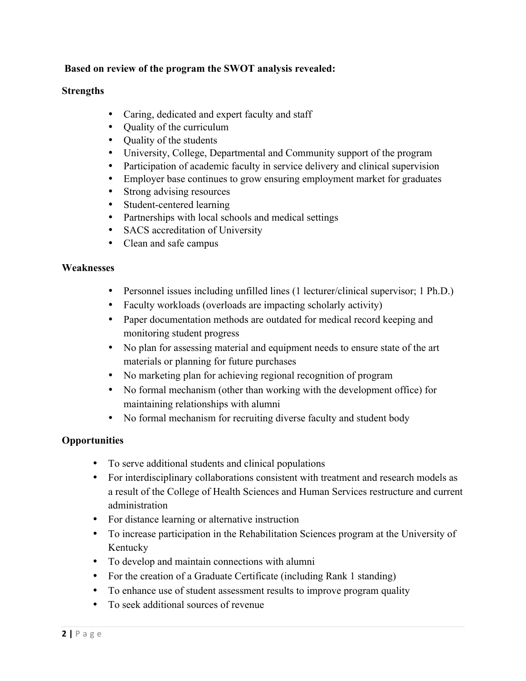## **Based on review of the program the SWOT analysis revealed:**

#### **Strengths**

- Caring, dedicated and expert faculty and staff
- Quality of the curriculum
- Quality of the students
- University, College, Departmental and Community support of the program
- Participation of academic faculty in service delivery and clinical supervision
- Employer base continues to grow ensuring employment market for graduates
- Strong advising resources
- Student-centered learning
- Partnerships with local schools and medical settings
- SACS accreditation of University
- Clean and safe campus

#### **Weaknesses**

- Personnel issues including unfilled lines (1 lecturer/clinical supervisor; 1 Ph.D.)
- Faculty workloads (overloads are impacting scholarly activity)
- Paper documentation methods are outdated for medical record keeping and monitoring student progress
- No plan for assessing material and equipment needs to ensure state of the art materials or planning for future purchases
- No marketing plan for achieving regional recognition of program
- No formal mechanism (other than working with the development office) for maintaining relationships with alumni
- No formal mechanism for recruiting diverse faculty and student body

### **Opportunities**

- To serve additional students and clinical populations
- For interdisciplinary collaborations consistent with treatment and research models as a result of the College of Health Sciences and Human Services restructure and current administration
- For distance learning or alternative instruction
- To increase participation in the Rehabilitation Sciences program at the University of Kentucky
- To develop and maintain connections with alumni
- For the creation of a Graduate Certificate (including Rank 1 standing)
- To enhance use of student assessment results to improve program quality
- To seek additional sources of revenue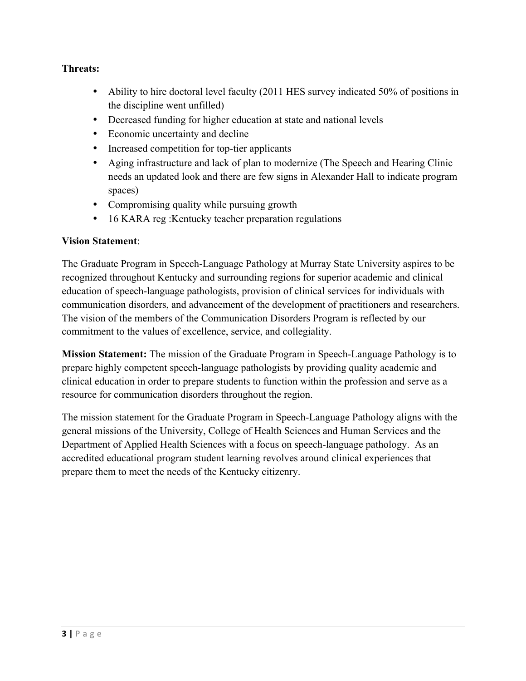## **Threats:**

- Ability to hire doctoral level faculty (2011 HES survey indicated 50% of positions in the discipline went unfilled)
- Decreased funding for higher education at state and national levels
- Economic uncertainty and decline
- Increased competition for top-tier applicants
- Aging infrastructure and lack of plan to modernize (The Speech and Hearing Clinic needs an updated look and there are few signs in Alexander Hall to indicate program spaces)
- Compromising quality while pursuing growth
- 16 KARA reg : Kentucky teacher preparation regulations

### **Vision Statement**:

The Graduate Program in Speech-Language Pathology at Murray State University aspires to be recognized throughout Kentucky and surrounding regions for superior academic and clinical education of speech-language pathologists, provision of clinical services for individuals with communication disorders, and advancement of the development of practitioners and researchers. The vision of the members of the Communication Disorders Program is reflected by our commitment to the values of excellence, service, and collegiality.

**Mission Statement:** The mission of the Graduate Program in Speech-Language Pathology is to prepare highly competent speech-language pathologists by providing quality academic and clinical education in order to prepare students to function within the profession and serve as a resource for communication disorders throughout the region.

The mission statement for the Graduate Program in Speech-Language Pathology aligns with the general missions of the University, College of Health Sciences and Human Services and the Department of Applied Health Sciences with a focus on speech-language pathology. As an accredited educational program student learning revolves around clinical experiences that prepare them to meet the needs of the Kentucky citizenry.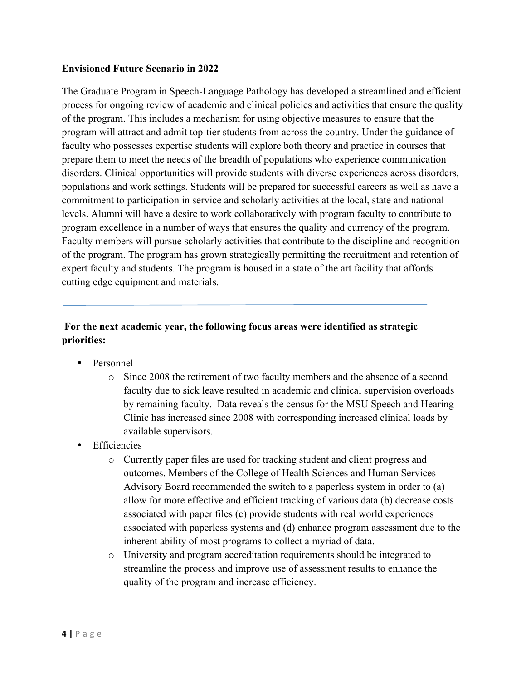### **Envisioned Future Scenario in 2022**

The Graduate Program in Speech-Language Pathology has developed a streamlined and efficient process for ongoing review of academic and clinical policies and activities that ensure the quality of the program. This includes a mechanism for using objective measures to ensure that the program will attract and admit top-tier students from across the country. Under the guidance of faculty who possesses expertise students will explore both theory and practice in courses that prepare them to meet the needs of the breadth of populations who experience communication disorders. Clinical opportunities will provide students with diverse experiences across disorders, populations and work settings. Students will be prepared for successful careers as well as have a commitment to participation in service and scholarly activities at the local, state and national levels. Alumni will have a desire to work collaboratively with program faculty to contribute to program excellence in a number of ways that ensures the quality and currency of the program. Faculty members will pursue scholarly activities that contribute to the discipline and recognition of the program. The program has grown strategically permitting the recruitment and retention of expert faculty and students. The program is housed in a state of the art facility that affords cutting edge equipment and materials.

## **For the next academic year, the following focus areas were identified as strategic priorities:**

- Personnel
	- o Since 2008 the retirement of two faculty members and the absence of a second faculty due to sick leave resulted in academic and clinical supervision overloads by remaining faculty. Data reveals the census for the MSU Speech and Hearing Clinic has increased since 2008 with corresponding increased clinical loads by available supervisors.
- **Efficiencies** 
	- o Currently paper files are used for tracking student and client progress and outcomes. Members of the College of Health Sciences and Human Services Advisory Board recommended the switch to a paperless system in order to (a) allow for more effective and efficient tracking of various data (b) decrease costs associated with paper files (c) provide students with real world experiences associated with paperless systems and (d) enhance program assessment due to the inherent ability of most programs to collect a myriad of data.
	- o University and program accreditation requirements should be integrated to streamline the process and improve use of assessment results to enhance the quality of the program and increase efficiency.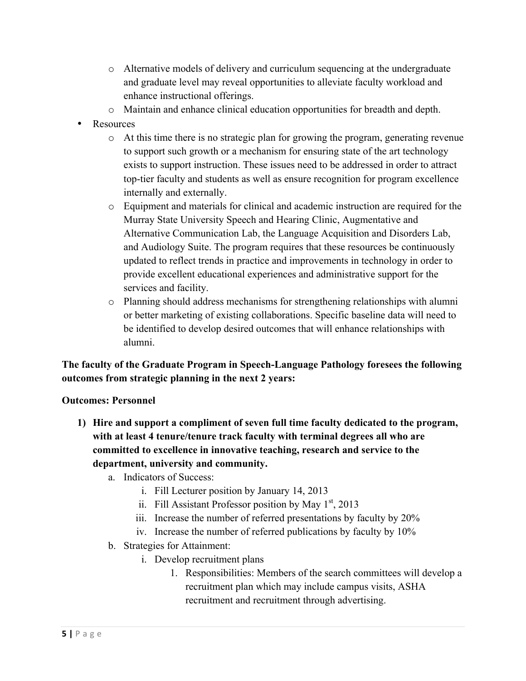- o Alternative models of delivery and curriculum sequencing at the undergraduate and graduate level may reveal opportunities to alleviate faculty workload and enhance instructional offerings.
- o Maintain and enhance clinical education opportunities for breadth and depth.
- Resources
	- $\circ$  At this time there is no strategic plan for growing the program, generating revenue to support such growth or a mechanism for ensuring state of the art technology exists to support instruction. These issues need to be addressed in order to attract top-tier faculty and students as well as ensure recognition for program excellence internally and externally.
	- o Equipment and materials for clinical and academic instruction are required for the Murray State University Speech and Hearing Clinic, Augmentative and Alternative Communication Lab, the Language Acquisition and Disorders Lab, and Audiology Suite. The program requires that these resources be continuously updated to reflect trends in practice and improvements in technology in order to provide excellent educational experiences and administrative support for the services and facility.
	- o Planning should address mechanisms for strengthening relationships with alumni or better marketing of existing collaborations. Specific baseline data will need to be identified to develop desired outcomes that will enhance relationships with alumni.

# **The faculty of the Graduate Program in Speech-Language Pathology foresees the following outcomes from strategic planning in the next 2 years:**

### **Outcomes: Personnel**

- **1) Hire and support a compliment of seven full time faculty dedicated to the program, with at least 4 tenure/tenure track faculty with terminal degrees all who are committed to excellence in innovative teaching, research and service to the department, university and community.** 
	- a. Indicators of Success:
		- i. Fill Lecturer position by January 14, 2013
		- ii. Fill Assistant Professor position by May  $1<sup>st</sup>$ , 2013
		- iii. Increase the number of referred presentations by faculty by 20%
		- iv. Increase the number of referred publications by faculty by 10%
	- b. Strategies for Attainment:
		- i. Develop recruitment plans
			- 1. Responsibilities: Members of the search committees will develop a recruitment plan which may include campus visits, ASHA recruitment and recruitment through advertising.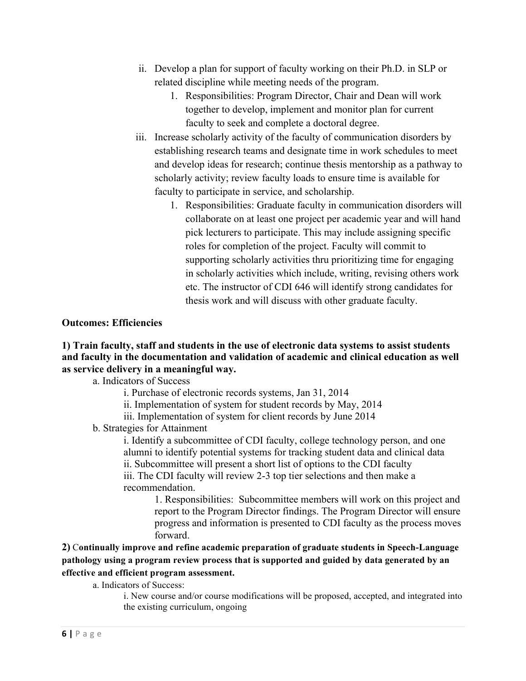- ii. Develop a plan for support of faculty working on their Ph.D. in SLP or related discipline while meeting needs of the program.
	- 1. Responsibilities: Program Director, Chair and Dean will work together to develop, implement and monitor plan for current faculty to seek and complete a doctoral degree.
- iii. Increase scholarly activity of the faculty of communication disorders by establishing research teams and designate time in work schedules to meet and develop ideas for research; continue thesis mentorship as a pathway to scholarly activity; review faculty loads to ensure time is available for faculty to participate in service, and scholarship.
	- 1. Responsibilities: Graduate faculty in communication disorders will collaborate on at least one project per academic year and will hand pick lecturers to participate. This may include assigning specific roles for completion of the project. Faculty will commit to supporting scholarly activities thru prioritizing time for engaging in scholarly activities which include, writing, revising others work etc. The instructor of CDI 646 will identify strong candidates for thesis work and will discuss with other graduate faculty.

#### **Outcomes: Efficiencies**

### **1) Train faculty, staff and students in the use of electronic data systems to assist students and faculty in the documentation and validation of academic and clinical education as well as service delivery in a meaningful way.**

a. Indicators of Success

- i. Purchase of electronic records systems, Jan 31, 2014
- ii. Implementation of system for student records by May, 2014
- iii. Implementation of system for client records by June 2014

### b. Strategies for Attainment

i. Identify a subcommittee of CDI faculty, college technology person, and one alumni to identify potential systems for tracking student data and clinical data ii. Subcommittee will present a short list of options to the CDI faculty iii. The CDI faculty will review 2-3 top tier selections and then make a recommendation.

1. Responsibilities: Subcommittee members will work on this project and report to the Program Director findings. The Program Director will ensure progress and information is presented to CDI faculty as the process moves forward.

## **2)** C**ontinually improve and refine academic preparation of graduate students in Speech-Language pathology using a program review process that is supported and guided by data generated by an effective and efficient program assessment.**

a. Indicators of Success:

i. New course and/or course modifications will be proposed, accepted, and integrated into the existing curriculum, ongoing